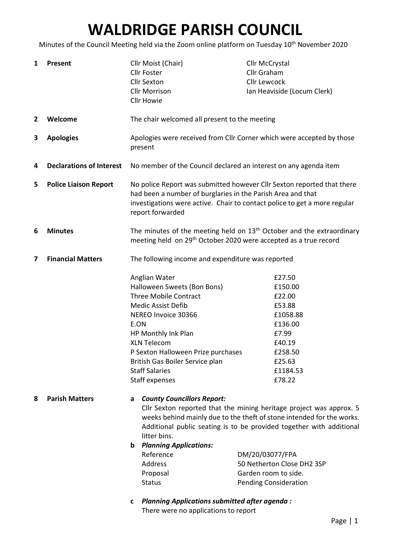# WALDRIDGE PARISH COUNCIL

Minutes of the Council Meeting held via the Zoom online platform on Tuesday 10<sup>th</sup> November 2020

| 1 | <b>Present</b>                  | Cllr Moist (Chair)<br><b>Cllr Foster</b><br><b>Cllr Sexton</b><br><b>Cllr Morrison</b><br><b>Cllr Howie</b>                                                                                                                                                                                                                                         | Cllr McCrystal<br>Cllr Graham<br><b>Cllr Lewcock</b><br>Ian Heaviside (Locum Clerk)                                                                                                                                                                                                                                           |
|---|---------------------------------|-----------------------------------------------------------------------------------------------------------------------------------------------------------------------------------------------------------------------------------------------------------------------------------------------------------------------------------------------------|-------------------------------------------------------------------------------------------------------------------------------------------------------------------------------------------------------------------------------------------------------------------------------------------------------------------------------|
| 2 | Welcome                         | The chair welcomed all present to the meeting                                                                                                                                                                                                                                                                                                       |                                                                                                                                                                                                                                                                                                                               |
| 3 | <b>Apologies</b>                | present                                                                                                                                                                                                                                                                                                                                             | Apologies were received from Cllr Corner which were accepted by those                                                                                                                                                                                                                                                         |
| 4 | <b>Declarations of Interest</b> |                                                                                                                                                                                                                                                                                                                                                     | No member of the Council declared an interest on any agenda item                                                                                                                                                                                                                                                              |
| 5 | <b>Police Liaison Report</b>    | had been a number of burglaries in the Parish Area and that<br>report forwarded                                                                                                                                                                                                                                                                     | No police Report was submitted however Cllr Sexton reported that there<br>investigations were active. Chair to contact police to get a more regular                                                                                                                                                                           |
| 6 | <b>Minutes</b>                  |                                                                                                                                                                                                                                                                                                                                                     | The minutes of the meeting held on 13 <sup>th</sup> October and the extraordinary<br>meeting held on 29 <sup>th</sup> October 2020 were accepted as a true record                                                                                                                                                             |
| 7 | <b>Financial Matters</b>        | The following income and expenditure was reported                                                                                                                                                                                                                                                                                                   |                                                                                                                                                                                                                                                                                                                               |
| 8 | <b>Parish Matters</b>           | Anglian Water<br>Halloween Sweets (Bon Bons)<br><b>Three Mobile Contract</b><br><b>Medic Assist Defib</b><br>NEREO Invoice 30366<br>E.ON<br>HP Monthly Ink Plan<br><b>XLN Telecom</b><br>P Sexton Halloween Prize purchases<br>British Gas Boiler Service plan<br><b>Staff Salaries</b><br>Staff expenses<br><b>County Councillors Report:</b><br>a | £27.50<br>£150.00<br>£22.00<br>£53.88<br>£1058.88<br>£136.00<br>£7.99<br>£40.19<br>£258.50<br>£25.63<br>£1184.53<br>£78.22                                                                                                                                                                                                    |
|   |                                 | litter bins.<br><b>Planning Applications:</b><br>b<br>Reference<br>Address<br>Proposal<br><b>Status</b><br><b>Planning Applications submitted after agenda:</b><br>$\mathbf c$<br>There were no applications to report                                                                                                                              | Cllr Sexton reported that the mining heritage project was approx. 5<br>weeks behind mainly due to the theft of stone intended for the works.<br>Additional public seating is to be provided together with additional<br>DM/20/03077/FPA<br>50 Netherton Close DH2 3SP<br>Garden room to side.<br><b>Pending Consideration</b> |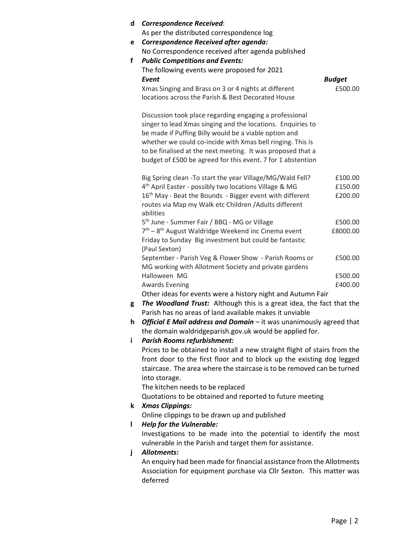| d | <b>Correspondence Received:</b>                                                                                                                                                                                                                                                                                                                                             |               |
|---|-----------------------------------------------------------------------------------------------------------------------------------------------------------------------------------------------------------------------------------------------------------------------------------------------------------------------------------------------------------------------------|---------------|
|   | As per the distributed correspondence log                                                                                                                                                                                                                                                                                                                                   |               |
| e | Correspondence Received after agenda:                                                                                                                                                                                                                                                                                                                                       |               |
|   | No Correspondence received after agenda published                                                                                                                                                                                                                                                                                                                           |               |
| f | <b>Public Competitions and Events:</b>                                                                                                                                                                                                                                                                                                                                      |               |
|   | The following events were proposed for 2021                                                                                                                                                                                                                                                                                                                                 |               |
|   | Event                                                                                                                                                                                                                                                                                                                                                                       | <b>Budget</b> |
|   | Xmas Singing and Brass on 3 or 4 nights at different                                                                                                                                                                                                                                                                                                                        | £500.00       |
|   | locations across the Parish & Best Decorated House                                                                                                                                                                                                                                                                                                                          |               |
|   | Discussion took place regarding engaging a professional<br>singer to lead Xmas singing and the locations. Enquiries to<br>be made if Puffing Billy would be a viable option and<br>whether we could co-incide with Xmas bell ringing. This is<br>to be finalised at the next meeting. It was proposed that a<br>budget of £500 be agreed for this event. 7 for 1 abstention |               |
|   | Big Spring clean - To start the year Village/MG/Wald Fell?                                                                                                                                                                                                                                                                                                                  | £100.00       |
|   | 4 <sup>th</sup> April Easter - possibly two locations Village & MG                                                                                                                                                                                                                                                                                                          | £150.00       |
|   | 16 <sup>th</sup> May - Beat the Bounds - Bigger event with different                                                                                                                                                                                                                                                                                                        | £200.00       |
|   | routes via Map my Walk etc Children / Adults different<br>abilities                                                                                                                                                                                                                                                                                                         |               |
|   | 5 <sup>th</sup> June - Summer Fair / BBQ - MG or Village                                                                                                                                                                                                                                                                                                                    | £500.00       |
|   | 7 <sup>th</sup> - 8 <sup>th</sup> August Waldridge Weekend inc Cinema event                                                                                                                                                                                                                                                                                                 | £8000.00      |
|   | Friday to Sunday Big investment but could be fantastic<br>(Paul Sexton)                                                                                                                                                                                                                                                                                                     |               |
|   | September - Parish Veg & Flower Show - Parish Rooms or                                                                                                                                                                                                                                                                                                                      | £500.00       |
|   | MG working with Allotment Society and private gardens                                                                                                                                                                                                                                                                                                                       |               |
|   | Halloween MG                                                                                                                                                                                                                                                                                                                                                                | £500.00       |
|   | <b>Awards Evening</b>                                                                                                                                                                                                                                                                                                                                                       | £400.00       |
|   | Other ideas for events were a history night and Autumn Fair                                                                                                                                                                                                                                                                                                                 |               |
| σ | The Woodland Trust: Although this is a great idea the fact that the                                                                                                                                                                                                                                                                                                         |               |

- g The Woodland Trust: Although this is a great idea, the fact that the Parish has no areas of land available makes it unviable
- h Official E Mail address and Domain it was unanimously agreed that the domain waldridgeparish.gov.uk would be applied for.
- i Parish Rooms refurbishment:

Prices to be obtained to install a new straight flight of stairs from the front door to the first floor and to block up the existing dog legged staircase. The area where the staircase is to be removed can be turned into storage.

The kitchen needs to be replaced

Quotations to be obtained and reported to future meeting

# k Xmas Clippings:

Online clippings to be drawn up and published

## l Help for the Vulnerable:

Investigations to be made into the potential to identify the most vulnerable in the Parish and target them for assistance.

# j Allotments:

An enquiry had been made for financial assistance from the Allotments Association for equipment purchase via Cllr Sexton. This matter was deferred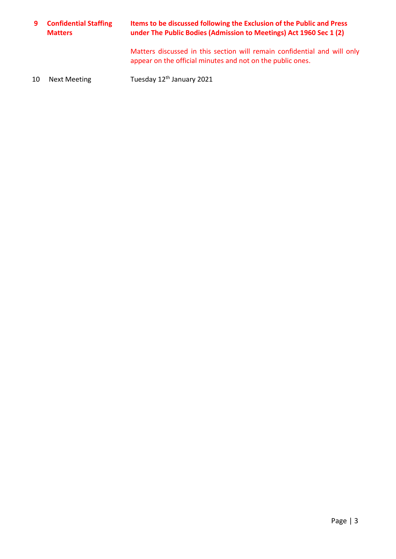#### 9 Confidential Staffing **Matters** Items to be discussed following the Exclusion of the Public and Press under The Public Bodies (Admission to Meetings) Act 1960 Sec 1 (2)

Matters discussed in this section will remain confidential and will only appear on the official minutes and not on the public ones.

10 Next Meeting Tuesday 12<sup>th</sup> January 2021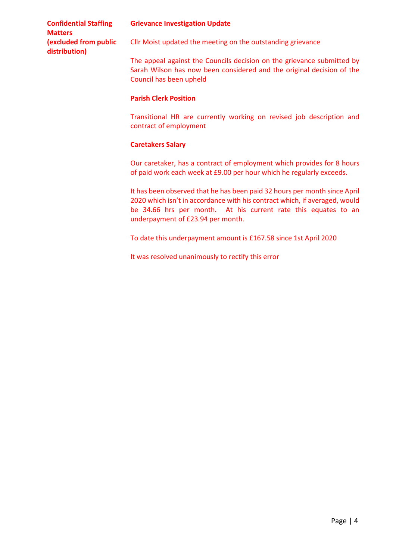Confidential Staffing **Matters** (excluded from public distribution)

### Grievance Investigation Update

Cllr Moist updated the meeting on the outstanding grievance

The appeal against the Councils decision on the grievance submitted by Sarah Wilson has now been considered and the original decision of the Council has been upheld

## Parish Clerk Position

Transitional HR are currently working on revised job description and contract of employment

## Caretakers Salary

Our caretaker, has a contract of employment which provides for 8 hours of paid work each week at £9.00 per hour which he regularly exceeds.

It has been observed that he has been paid 32 hours per month since April 2020 which isn't in accordance with his contract which, if averaged, would be 34.66 hrs per month. At his current rate this equates to an underpayment of £23.94 per month.

To date this underpayment amount is £167.58 since 1st April 2020

It was resolved unanimously to rectify this error